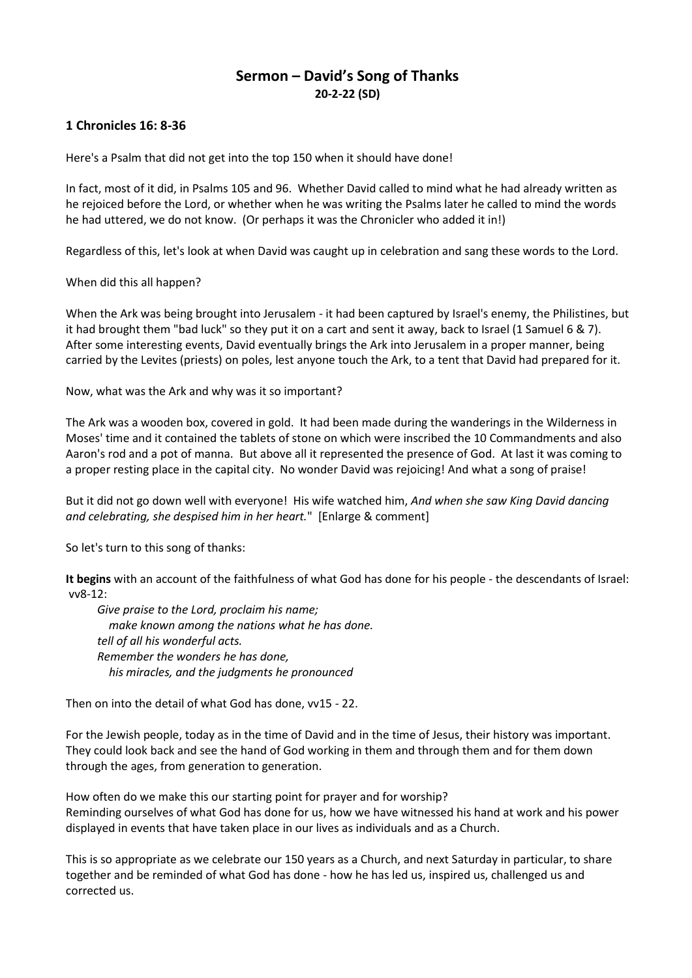## **Sermon – David's Song of Thanks 20-2-22 (SD)**

## **1 Chronicles 16: 8-36**

Here's a Psalm that did not get into the top 150 when it should have done!

In fact, most of it did, in Psalms 105 and 96. Whether David called to mind what he had already written as he rejoiced before the Lord, or whether when he was writing the Psalms later he called to mind the words he had uttered, we do not know. (Or perhaps it was the Chronicler who added it in!)

Regardless of this, let's look at when David was caught up in celebration and sang these words to the Lord.

When did this all happen?

When the Ark was being brought into Jerusalem - it had been captured by Israel's enemy, the Philistines, but it had brought them "bad luck" so they put it on a cart and sent it away, back to Israel (1 Samuel 6 & 7). After some interesting events, David eventually brings the Ark into Jerusalem in a proper manner, being carried by the Levites (priests) on poles, lest anyone touch the Ark, to a tent that David had prepared for it.

Now, what was the Ark and why was it so important?

The Ark was a wooden box, covered in gold. It had been made during the wanderings in the Wilderness in Moses' time and it contained the tablets of stone on which were inscribed the 10 Commandments and also Aaron's rod and a pot of manna. But above all it represented the presence of God. At last it was coming to a proper resting place in the capital city. No wonder David was rejoicing! And what a song of praise!

But it did not go down well with everyone! His wife watched him, *And when she saw King David dancing and celebrating, she despised him in her heart.*" [Enlarge & comment]

So let's turn to this song of thanks:

**It begins** with an account of the faithfulness of what God has done for his people - the descendants of Israel: vv8-12:

*Give praise to the Lord, proclaim his name; make known among the nations what he has done. tell of all his wonderful acts. Remember the wonders he has done, his miracles, and the judgments he pronounced*

Then on into the detail of what God has done, vv15 - 22.

For the Jewish people, today as in the time of David and in the time of Jesus, their history was important. They could look back and see the hand of God working in them and through them and for them down through the ages, from generation to generation.

How often do we make this our starting point for prayer and for worship? Reminding ourselves of what God has done for us, how we have witnessed his hand at work and his power displayed in events that have taken place in our lives as individuals and as a Church.

This is so appropriate as we celebrate our 150 years as a Church, and next Saturday in particular, to share together and be reminded of what God has done - how he has led us, inspired us, challenged us and corrected us.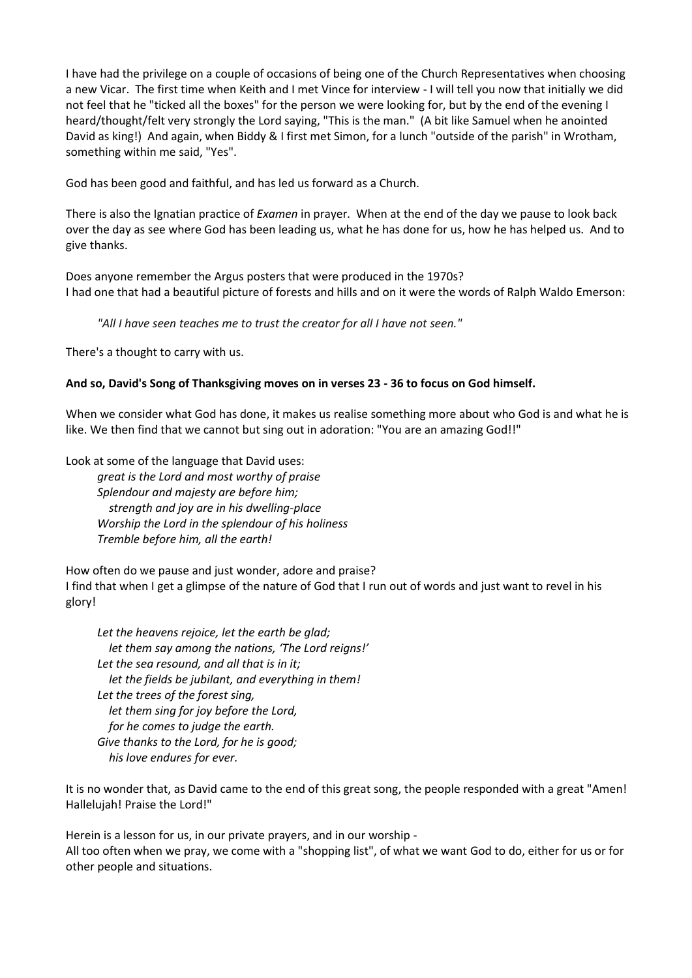I have had the privilege on a couple of occasions of being one of the Church Representatives when choosing a new Vicar. The first time when Keith and I met Vince for interview - I will tell you now that initially we did not feel that he "ticked all the boxes" for the person we were looking for, but by the end of the evening I heard/thought/felt very strongly the Lord saying, "This is the man." (A bit like Samuel when he anointed David as king!) And again, when Biddy & I first met Simon, for a lunch "outside of the parish" in Wrotham, something within me said, "Yes".

God has been good and faithful, and has led us forward as a Church.

There is also the Ignatian practice of *Examen* in prayer. When at the end of the day we pause to look back over the day as see where God has been leading us, what he has done for us, how he has helped us. And to give thanks.

Does anyone remember the Argus posters that were produced in the 1970s? I had one that had a beautiful picture of forests and hills and on it were the words of Ralph Waldo Emerson:

*"All I have seen teaches me to trust the creator for all I have not seen."*

There's a thought to carry with us.

## **And so, David's Song of Thanksgiving moves on in verses 23 - 36 to focus on God himself.**

When we consider what God has done, it makes us realise something more about who God is and what he is like. We then find that we cannot but sing out in adoration: "You are an amazing God!!"

Look at some of the language that David uses:

*great is the Lord and most worthy of praise Splendour and majesty are before him; strength and joy are in his dwelling-place Worship the Lord in the splendour of his holiness Tremble before him, all the earth!*

How often do we pause and just wonder, adore and praise? I find that when I get a glimpse of the nature of God that I run out of words and just want to revel in his glory!

*Let the heavens rejoice, let the earth be glad; let them say among the nations, 'The Lord reigns!' Let the sea resound, and all that is in it; let the fields be jubilant, and everything in them! Let the trees of the forest sing, let them sing for joy before the Lord, for he comes to judge the earth. Give thanks to the Lord, for he is good; his love endures for ever.*

It is no wonder that, as David came to the end of this great song, the people responded with a great "Amen! Hallelujah! Praise the Lord!"

Herein is a lesson for us, in our private prayers, and in our worship - All too often when we pray, we come with a "shopping list", of what we want God to do, either for us or for other people and situations.